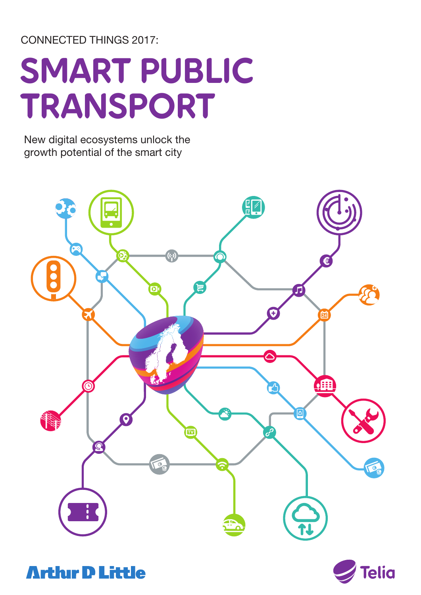CONNECTED THINGS 2017:

# SMART PUBLIC TRANSPORT

New digital ecosystems unlock the growth potential of the smart city





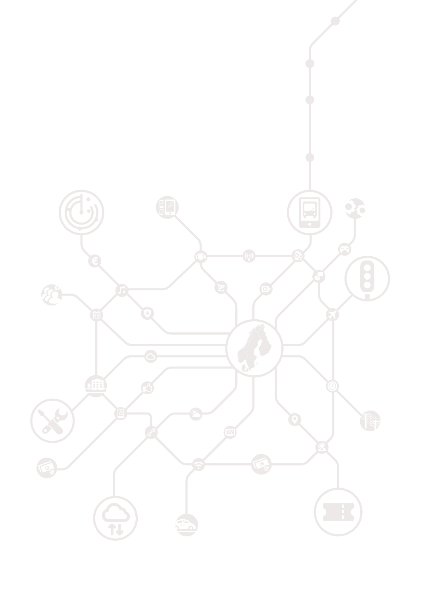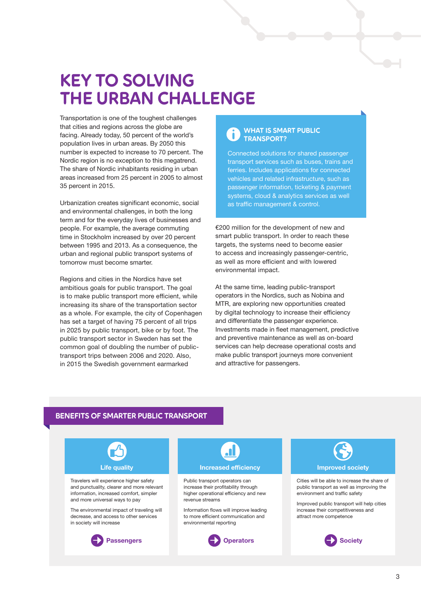# KEY TO SOLVING THE URBAN CHALLENGE

Transportation is one of the toughest challenges that cities and regions across the globe are facing. Already today, 50 percent of the world's population lives in urban areas. By 2050 this number is expected to increase to 70 percent. The Nordic region is no exception to this megatrend. The share of Nordic inhabitants residing in urban areas increased from 25 percent in 2005 to almost 35 percent in 2015.

Urbanization creates significant economic, social and environmental challenges, in both the long term and for the everyday lives of businesses and people. For example, the average commuting time in Stockholm increased by over 20 percent between 1995 and 2013. As a consequence, the urban and regional public transport systems of tomorrow must become smarter.

Regions and cities in the Nordics have set ambitious goals for public transport. The goal is to make public transport more efficient, while increasing its share of the transportation sector as a whole. For example, the city of Copenhagen has set a target of having 75 percent of all trips in 2025 by public transport, bike or by foot. The public transport sector in Sweden has set the common goal of doubling the number of publictransport trips between 2006 and 2020. Also, in 2015 the Swedish government earmarked

### WHAT IS SMART PUBLIC TRANSPORT?

Connected solutions for shared passenger transport services such as buses, trains and ferries. Includes applications for connected vehicles and related infrastructure, such as passenger information, ticketing & payment systems, cloud & analytics services as well as traffic management & control.

€200 million for the development of new and smart public transport. In order to reach these targets, the systems need to become easier to access and increasingly passenger-centric, as well as more efficient and with lowered environmental impact.

At the same time, leading public-transport operators in the Nordics, such as Nobina and MTR, are exploring new opportunities created by digital technology to increase their efficiency and differentiate the passenger experience. Investments made in fleet management, predictive and preventive maintenance as well as on-board services can help decrease operational costs and make public transport journeys more convenient and attractive for passengers.

### BENEFITS OF SMARTER PUBLIC TRANSPORT

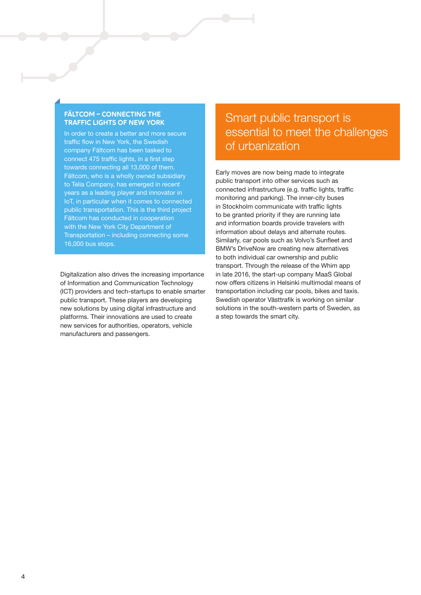### FÄLTCOM – CONNECTING THE TRAFFIC LIGHTS OF NEW YORK

In order to create a better and more secure traffic flow in New York, the Swedish company Fältcom has been tasked to connect 475 traffic lights, in a first step towards connecting all 13,000 of them. Fältcom, who is a wholly owned subsidiary to Telia Company, has emerged in recent years as a leading player and innovator in IoT, in particular when it comes to connected public transportation. This is the third project Fältcom has conducted in cooperation with the New York City Department of Transportation – including connecting some 16,000 bus stops.

Digitalization also drives the increasing importance of Information and Communication Technology (ICT) providers and tech-startups to enable smarter public transport. These players are developing new solutions by using digital infrastructure and platforms. Their innovations are used to create new services for authorities, operators, vehicle manufacturers and passengers.

### Smart public transport is essential to meet the challenges of urbanization

Early moves are now being made to integrate public transport into other services such as connected infrastructure (e.g. traffic lights, traffic monitoring and parking). The inner-city buses in Stockholm communicate with traffic lights to be granted priority if they are running late and information boards provide travelers with information about delays and alternate routes. Similarly, car pools such as Volvo's Sunfleet and BMW's DriveNow are creating new alternatives to both individual car ownership and public transport. Through the release of the Whim app in late 2016, the start-up company MaaS Global now offers citizens in Helsinki multimodal means of transportation including car pools, bikes and taxis. Swedish operator Västtrafik is working on similar solutions in the south-western parts of Sweden, as a step towards the smart city.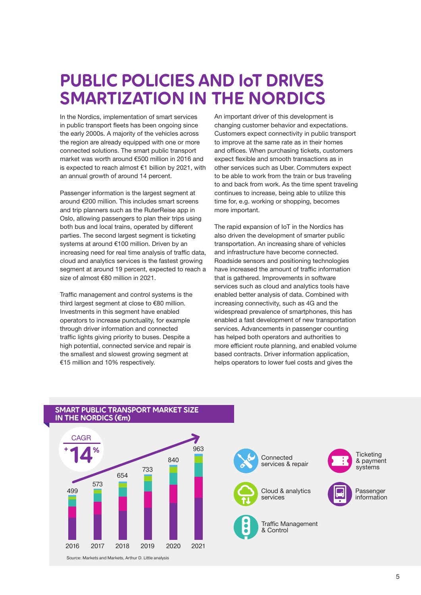# PUBLIC POLICIES AND IoT DRIVES SMARTIZATION IN THE NORDICS

In the Nordics, implementation of smart services in public transport fleets has been ongoing since the early 2000s. A majority of the vehicles across the region are already equipped with one or more connected solutions. The smart public transport market was worth around €500 million in 2016 and is expected to reach almost €1 billion by 2021, with an annual growth of around 14 percent.

Passenger information is the largest segment at around €200 million. This includes smart screens and trip planners such as the RuterReise app in Oslo, allowing passengers to plan their trips using both bus and local trains, operated by different parties. The second largest segment is ticketing systems at around €100 million. Driven by an increasing need for real time analysis of traffic data, cloud and analytics services is the fastest growing segment at around 19 percent, expected to reach a size of almost €80 million in 2021.

Traffic management and control systems is the third largest segment at close to €80 million. Investments in this segment have enabled operators to increase punctuality, for example through driver information and connected traffic lights giving priority to buses. Despite a high potential, connected service and repair is the smallest and slowest growing segment at €15 million and 10% respectively.

An important driver of this development is changing customer behavior and expectations. Customers expect connectivity in public transport to improve at the same rate as in their homes and offices. When purchasing tickets, customers expect flexible and smooth transactions as in other services such as Uber. Commuters expect to be able to work from the train or bus traveling to and back from work. As the time spent traveling continues to increase, being able to utilize this time for, e.g. working or shopping, becomes more important.

The rapid expansion of IoT in the Nordics has also driven the development of smarter public transportation. An increasing share of vehicles and infrastructure have become connected. Roadside sensors and positioning technologies have increased the amount of traffic information that is gathered. Improvements in software services such as cloud and analytics tools have enabled better analysis of data. Combined with increasing connectivity, such as 4G and the widespread prevalence of smartphones, this has enabled a fast development of new transportation services. Advancements in passenger counting has helped both operators and authorities to more efficient route planning, and enabled volume based contracts. Driver information application, helps operators to lower fuel costs and gives the



### SMART PUBLIC TRANSPORT MARKET SIZE IN THE NORDICS (€m)



Traffic Management

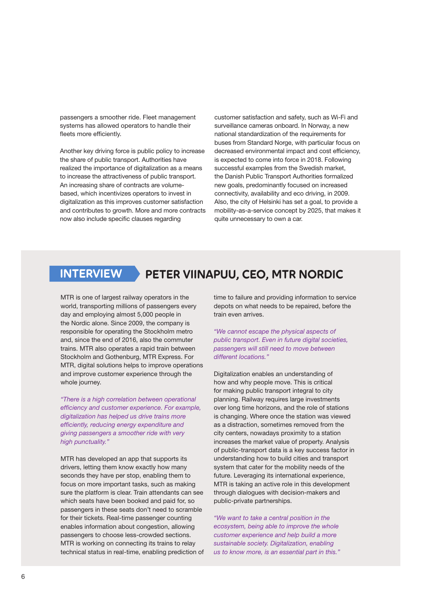passengers a smoother ride. Fleet management systems has allowed operators to handle their fleets more efficiently.

Another key driving force is public policy to increase the share of public transport. Authorities have realized the importance of digitalization as a means to increase the attractiveness of public transport. An increasing share of contracts are volumebased, which incentivizes operators to invest in digitalization as this improves customer satisfaction and contributes to growth. More and more contracts now also include specific clauses regarding

customer satisfaction and safety, such as Wi-Fi and surveillance cameras onboard. In Norway, a new national standardization of the requirements for buses from Standard Norge, with particular focus on decreased environmental impact and cost efficiency, is expected to come into force in 2018. Following successful examples from the Swedish market, the Danish Public Transport Authorities formalized new goals, predominantly focused on increased connectivity, availability and eco driving, in 2009. Also, the city of Helsinki has set a goal, to provide a mobility-as-a-service concept by 2025, that makes it quite unnecessary to own a car.

### INTERVIEW

### PETER VIINAPUU, CEO, MTR NORDIC

MTR is one of largest railway operators in the world, transporting millions of passengers every day and employing almost 5,000 people in the Nordic alone. Since 2009, the company is responsible for operating the Stockholm metro and, since the end of 2016, also the commuter trains. MTR also operates a rapid train between Stockholm and Gothenburg, MTR Express. For MTR, digital solutions helps to improve operations and improve customer experience through the whole journey.

*"There is a high correlation between operational efficiency and customer experience. For example, digitalization has helped us drive trains more efficiently, reducing energy expenditure and giving passengers a smoother ride with very high punctuality."*

MTR has developed an app that supports its drivers, letting them know exactly how many seconds they have per stop, enabling them to focus on more important tasks, such as making sure the platform is clear. Train attendants can see which seats have been booked and paid for, so passengers in these seats don't need to scramble for their tickets. Real-time passenger counting enables information about congestion, allowing passengers to choose less-crowded sections. MTR is working on connecting its trains to relay technical status in real-time, enabling prediction of time to failure and providing information to service depots on what needs to be repaired, before the train even arrives.

*"We cannot escape the physical aspects of public transport. Even in future digital societies, passengers will still need to move between different locations."*

Digitalization enables an understanding of how and why people move. This is critical for making public transport integral to city planning. Railway requires large investments over long time horizons, and the role of stations is changing. Where once the station was viewed as a distraction, sometimes removed from the city centers, nowadays proximity to a station increases the market value of property. Analysis of public-transport data is a key success factor in understanding how to build cities and transport system that cater for the mobility needs of the future. Leveraging its international experience, MTR is taking an active role in this development through dialogues with decision-makers and public-private partnerships.

*"We want to take a central position in the ecosystem, being able to improve the whole customer experience and help build a more sustainable society. Digitalization, enabling us to know more, is an essential part in this."*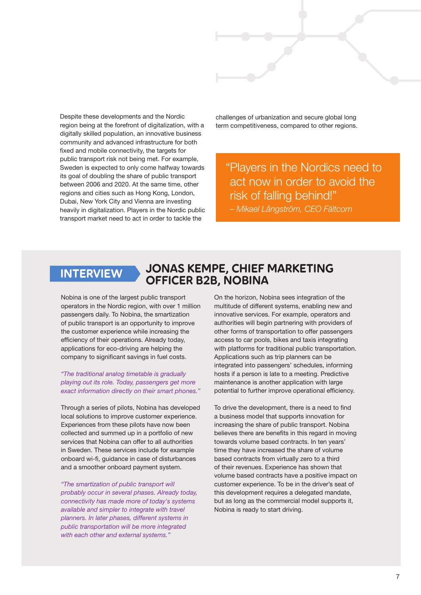Despite these developments and the Nordic region being at the forefront of digitalization, with a digitally skilled population, an innovative business community and advanced infrastructure for both fixed and mobile connectivity, the targets for public transport risk not being met. For example, Sweden is expected to only come halfway towards its goal of doubling the share of public transport between 2006 and 2020. At the same time, other regions and cities such as Hong Kong, London, Dubai, New York City and Vienna are investing heavily in digitalization. Players in the Nordic public transport market need to act in order to tackle the

challenges of urbanization and secure global long term competitiveness, compared to other regions.

"Players in the Nordics need to act now in order to avoid the risk of falling behind!" *– Mikael Långström, CEO Fältcom*

### INTERVIEW

Nobina is one of the largest public transport operators in the Nordic region, with over 1 million passengers daily. To Nobina, the smartization of public transport is an opportunity to improve the customer experience while increasing the efficiency of their operations. Already today, applications for eco-driving are helping the company to significant savings in fuel costs.

### *"The traditional analog timetable is gradually playing out its role. Today, passengers get more exact information directly on their smart phones."*

Through a series of pilots, Nobina has developed local solutions to improve customer experience. Experiences from these pilots have now been collected and summed up in a portfolio of new services that Nobina can offer to all authorities in Sweden. These services include for example onboard wi-fi, guidance in case of disturbances and a smoother onboard payment system.

*"The smartization of public transport will probably occur in several phases. Already today, connectivity has made more of today's systems available and simpler to integrate with travel planners. In later phases, different systems in public transportation will be more integrated with each other and external systems."*

On the horizon, Nobina sees integration of the multitude of different systems, enabling new and innovative services. For example, operators and authorities will begin partnering with providers of other forms of transportation to offer passengers access to car pools, bikes and taxis integrating with platforms for traditional public transportation. Applications such as trip planners can be integrated into passengers' schedules, informing hosts if a person is late to a meeting. Predictive maintenance is another application with large potential to further improve operational efficiency.

JONAS KEMPE, CHIEF MARKETING

OFFICER B2B, NOBINA

To drive the development, there is a need to find a business model that supports innovation for increasing the share of public transport. Nobina believes there are benefits in this regard in moving towards volume based contracts. In ten years' time they have increased the share of volume based contracts from virtually zero to a third of their revenues. Experience has shown that volume based contracts have a positive impact on customer experience. To be in the driver's seat of this development requires a delegated mandate, but as long as the commercial model supports it, Nobina is ready to start driving.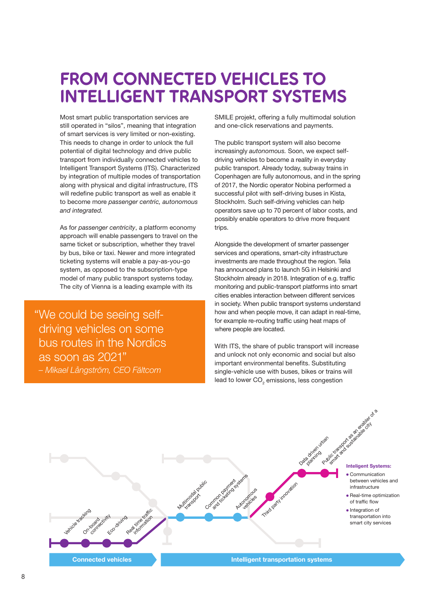## FROM CONNECTED VEHICLES TO INTELLIGENT TRANSPORT SYSTEMS

Most smart public transportation services are still operated in "silos", meaning that integration of smart services is very limited or non-existing. This needs to change in order to unlock the full potential of digital technology and drive public transport from individually connected vehicles to Intelligent Transport Systems (ITS). Characterized by integration of multiple modes of transportation along with physical and digital infrastructure, ITS will redefine public transport as well as enable it to become more *passenger centric, autonomous and integrated.*

As for *passenger centricity*, a platform economy approach will enable passengers to travel on the same ticket or subscription, whether they travel by bus, bike or taxi. Newer and more integrated ticketing systems will enable a pay-as-you-go system, as opposed to the subscription-type model of many public transport systems today. The city of Vienna is a leading example with its

"We could be seeing selfdriving vehicles on some bus routes in the Nordics as soon as 2021" *– Mikael Långström, CEO Fältcom*

SMILE projekt, offering a fully multimodal solution and one-click reservations and payments.

The public transport system will also become increasingly *autonomous.* Soon, we expect selfdriving vehicles to become a reality in everyday public transport. Already today, subway trains in Copenhagen are fully autonomous, and in the spring of 2017, the Nordic operator Nobina performed a successful pilot with self-driving buses in Kista, Stockholm. Such self-driving vehicles can help operators save up to 70 percent of labor costs, and possibly enable operators to drive more frequent trips.

Alongside the development of smarter passenger services and operations, smart-city infrastructure investments are made throughout the region. Telia has announced plans to launch 5G in Helsinki and Stockholm already in 2018. Integration of e.g. traffic monitoring and public-transport platforms into smart cities enables interaction between different services in society. When public transport systems understand how and when people move, it can adapt in real-time, for example re-routing traffic using heat maps of where people are located.

With ITS, the share of public transport will increase and unlock not only economic and social but also important environmental benefits. Substituting single-vehicle use with buses, bikes or trains will lead to lower CO<sub>2</sub> emissions, less congestion

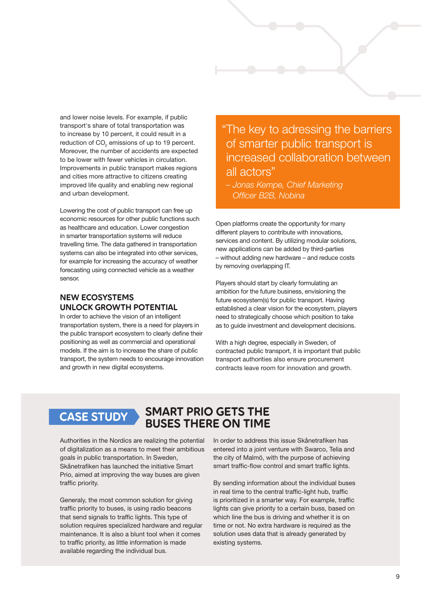

and lower noise levels. For example, if public transport's share of total transportation was to increase by 10 percent, it could result in a reduction of CO $_2$  emissions of up to 19 percent. Moreover, the number of accidents are expected to be lower with fewer vehicles in circulation. Improvements in public transport makes regions and cities more attractive to citizens creating improved life quality and enabling new regional and urban development.

Lowering the cost of public transport can free up economic resources for other public functions such as healthcare and education. Lower congestion in smarter transportation systems will reduce travelling time. The data gathered in transportation systems can also be integrated into other services, for example for increasing the accuracy of weather forecasting using connected vehicle as a weather sensor.

### NEW ECOSYSTEMS UNLOCK GROWTH POTENTIAL

In order to achieve the vision of an intelligent transportation system, there is a need for players in the public transport ecosystem to clearly define their positioning as well as commercial and operational models. If the aim is to increase the share of public transport, the system needs to encourage innovation and growth in new digital ecosystems.

"The key to adressing the barriers of smarter public transport is increased collaboration between all actors"

*– Jonas Kempe, Chief Marketing Officer B2B, Nobina*

Open platforms create the opportunity for many different players to contribute with innovations, services and content. By utilizing modular solutions, new applications can be added by third-parties – without adding new hardware – and reduce costs by removing overlapping IT.

Players should start by clearly formulating an ambition for the future business, envisioning the future ecosystem(s) for public transport. Having established a clear vision for the ecosystem, players need to strategically choose which position to take as to guide investment and development decisions.

With a high degree, especially in Sweden, of contracted public transport, it is important that public transport authorities also ensure procurement contracts leave room for innovation and growth.

### CASE STUDY

### SMART PRIO GETS THE BUSES THERE ON TIME

Authorities in the Nordics are realizing the potential of digitalization as a means to meet their ambitious goals in public transportation. In Sweden, Skånetrafiken has launched the initiative Smart Prio, aimed at improving the way buses are given traffic priority.

Generaly, the most common solution for giving traffic priority to buses, is using radio beacons that send signals to traffic lights. This type of solution requires specialized hardware and regular maintenance. It is also a blunt tool when it comes to traffic priority, as little information is made available regarding the individual bus.

In order to address this issue Skånetrafiken has entered into a joint venture with Swarco, Telia and the city of Malmö, with the purpose of achieving smart traffic-flow control and smart traffic lights.

By sending information about the individual buses in real time to the central traffic-light hub, traffic is prioritized in a smarter way. For example, traffic lights can give priority to a certain buss, based on which line the bus is driving and whether it is on time or not. No extra hardware is required as the solution uses data that is already generated by existing systems.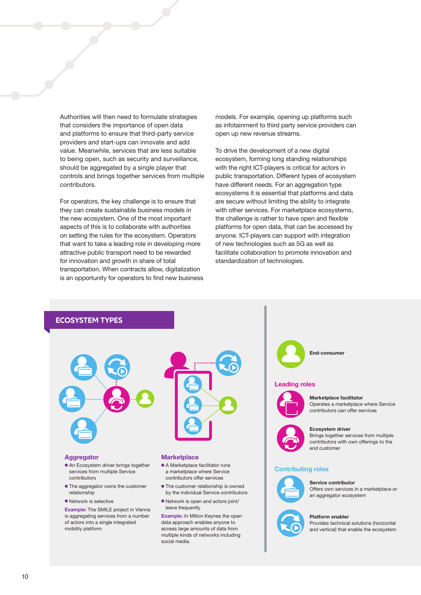Authorities will then need to formulate strategies that considers the importance of open data and platforms to ensure that third-party service providers and start-ups can innovate and add value. Meanwhile, services that are less suitable to being open, such as security and surveillance, should be aggregated by a single player that controls and brings together services from multiple contributors.

For operators, the key challenge is to ensure that they can create sustainable business models in the new ecosystem. One of the most important aspects of this is to collaborate with authorities on setting the rules for the ecosystem. Operators that want to take a leading role in developing more attractive public transport need to be rewarded for innovation and growth in share of total transportation. When contracts allow, digitalization is an opportunity for operators to find new business models. For example, opening up platforms such as infotainment to third party service providers can open up new revenue streams.

To drive the development of a new digital ecosystem, forming long standing relationships with the right ICT-players is critical for actors in public transportation. Different types of ecosystem have different needs. For an aggregation type ecosystems it is essential that platforms and data are secure without limiting the ability to integrate with other services. For marketplace ecosystems, the challenge is rather to have open and flexible platforms for open data, that can be accessed by anyone. ICT-players can support with integration of new technologies such as 5G as well as facilitate collaboration to promote innovation and standardization of technologies.



#### Aggregator

ECOSYSTEM TYPES

- **An Ecosystem driver brings together** services from multiple Service contributors
- The aggregator owns the customer relationship
- Network is selective

Example: The SMILE project in Vienna is aggregating services from a number of actors into a single integrated mobility platform

#### **Marketplace**

- A Marketplace facilitator runs a marketplace where Service contributors offer services
- The customer relationship is owned by the individual Service contributors
- Network is open and actors joint/ leave frequently

Example: In Milton Keynes the open data approach enables anyone to access large amounts of data from multiple kinds of networks including social media.

End-consumer

#### Leading roles



#### Marketplace facilitator

Operates a marketplace where Service contributors can offer services



#### Ecosystem driver

Brings together services from multiple contributors with own offerings to the end customer

### Contributing roles



### Service contributor

Platform enabler

Offers own services in a marketplace or an aggregator ecosystem

Provides technical solutions (horizontal and vertical) that enable the ecosystem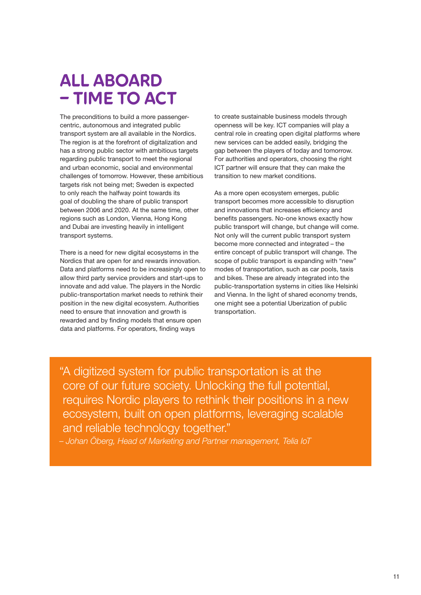# ALL ABOARD – TIME TO ACT

The preconditions to build a more passengercentric, autonomous and integrated public transport system are all available in the Nordics. The region is at the forefront of digitalization and has a strong public sector with ambitious targets regarding public transport to meet the regional and urban economic, social and environmental challenges of tomorrow. However, these ambitious targets risk not being met; Sweden is expected to only reach the halfway point towards its goal of doubling the share of public transport between 2006 and 2020. At the same time, other regions such as London, Vienna, Hong Kong and Dubai are investing heavily in intelligent transport systems.

There is a need for new digital ecosystems in the Nordics that are open for and rewards innovation. Data and platforms need to be increasingly open to allow third party service providers and start-ups to innovate and add value. The players in the Nordic public-transportation market needs to rethink their position in the new digital ecosystem. Authorities need to ensure that innovation and growth is rewarded and by finding models that ensure open data and platforms. For operators, finding ways

to create sustainable business models through openness will be key. ICT companies will play a central role in creating open digital platforms where new services can be added easily, bridging the gap between the players of today and tomorrow. For authorities and operators, choosing the right ICT partner will ensure that they can make the transition to new market conditions.

As a more open ecosystem emerges, public transport becomes more accessible to disruption and innovations that increases efficiency and benefits passengers. No-one knows exactly how public transport will change, but change will come. Not only will the current public transport system become more connected and integrated – the entire concept of public transport will change. The scope of public transport is expanding with "new" modes of transportation, such as car pools, taxis and bikes. These are already integrated into the public-transportation systems in cities like Helsinki and Vienna. In the light of shared economy trends, one might see a potential Uberization of public transportation.

"A digitized system for public transportation is at the core of our future society. Unlocking the full potential, requires Nordic players to rethink their positions in a new ecosystem, built on open platforms, leveraging scalable and reliable technology together."

*– Johan Öberg, Head of Marketing and Partner management, Telia IoT*